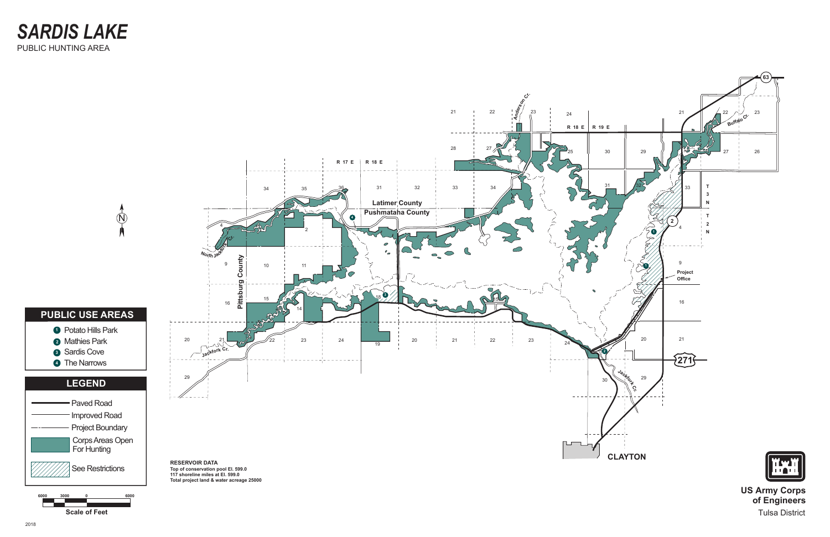**of Engineers** Tulsa District

*SARDIS LAKE* PUBLIC HUNTING AREA

**Scale of Feet**